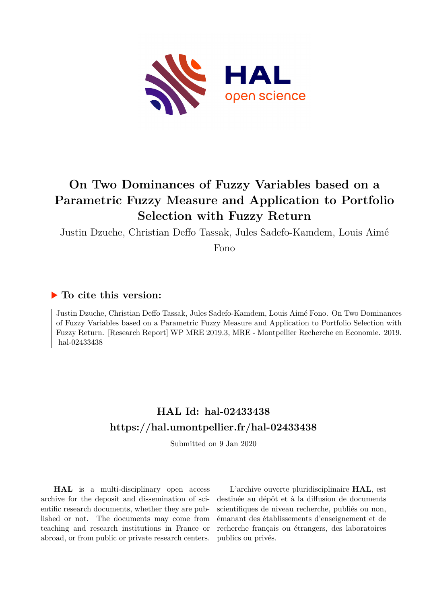

# **On Two Dominances of Fuzzy Variables based on a Parametric Fuzzy Measure and Application to Portfolio Selection with Fuzzy Return**

Justin Dzuche, Christian Deffo Tassak, Jules Sadefo-Kamdem, Louis Aimé

Fono

## **To cite this version:**

Justin Dzuche, Christian Deffo Tassak, Jules Sadefo-Kamdem, Louis Aimé Fono. On Two Dominances of Fuzzy Variables based on a Parametric Fuzzy Measure and Application to Portfolio Selection with Fuzzy Return. [Research Report] WP MRE 2019.3, MRE - Montpellier Recherche en Economie. 2019. hal-02433438

# **HAL Id: hal-02433438 <https://hal.umontpellier.fr/hal-02433438>**

Submitted on 9 Jan 2020

**HAL** is a multi-disciplinary open access archive for the deposit and dissemination of scientific research documents, whether they are published or not. The documents may come from teaching and research institutions in France or abroad, or from public or private research centers.

L'archive ouverte pluridisciplinaire **HAL**, est destinée au dépôt et à la diffusion de documents scientifiques de niveau recherche, publiés ou non, émanant des établissements d'enseignement et de recherche français ou étrangers, des laboratoires publics ou privés.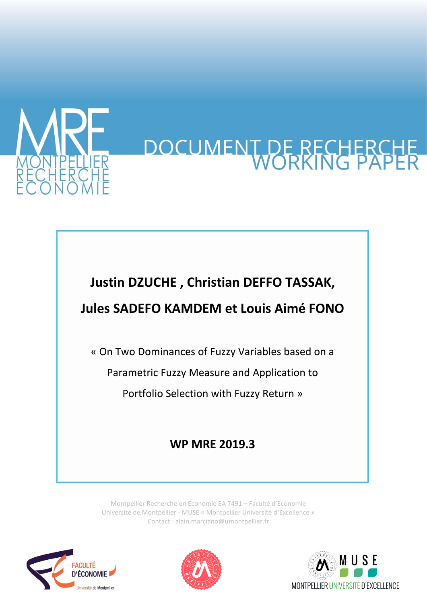

# DOCUMENT DE RECHERCH

# **Justin DZUCHE , Christian DEFFO TASSAK, Jules SADEFO KAMDEM et Louis Aimé FONO**

« On Two Dominances of Fuzzy Variables based on a

Parametric Fuzzy Measure and Application to

Portfolio Selection with Fuzzy Return »

# **WP MRE 2019.3**

Montpellier Recherche en Economie EA 7491 – Faculté d'Economie Université de Montpellier - MUSE « Montpellier Université d'Excellence » Contact : alain.marciano@umontpellier.fr





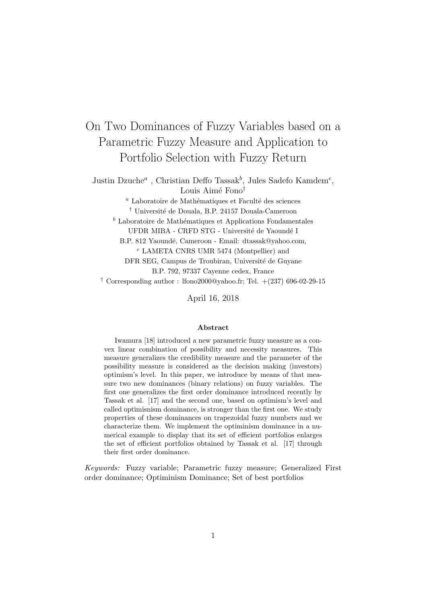# On Two Dominances of Fuzzy Variables based on a Parametric Fuzzy Measure and Application to Portfolio Selection with Fuzzy Return

Justin Dzuche<sup>a</sup>, Christian Deffo Tassak<sup>b</sup>, Jules Sadefo Kamdem<sup>c</sup>, Louis Aimé Fono<sup>†</sup>

> $a<sup>a</sup>$  Laboratoire de Mathématiques et Faculté des sciences  $^\dagger$ Université de Douala, B.P. 24157 Douala-Cameroon

 $<sup>b</sup>$  Laboratoire de Mathématiques et Applications Fondamentales</sup>

UFDR MIBA - CRFD STG - Université de Yaoundé I

B.P. 812 Yaoundé, Cameroon - Email: dtassak@yahoo.com, <sup>c</sup> LAMETA CNRS UMR 5474 (Montpellier) and

DFR SEG, Campus de Troubiran, Université de Guyane

B.P. 792, 97337 Cayenne cedex, France

<sup>†</sup> Corresponding author : lfono2000@yahoo.fr; Tel.  $+(237)$  696-02-29-15

April 16, 2018

#### Abstract

Iwamura [18] introduced a new parametric fuzzy measure as a convex linear combination of possibility and necessity measures. This measure generalizes the credibility measure and the parameter of the possibility measure is considered as the decision making (investors) optimism's level. In this paper, we introduce by means of that measure two new dominances (binary relations) on fuzzy variables. The first one generalizes the first order dominance introduced recently by Tassak et al. [17] and the second one, based on optimism's level and called optimisnism dominance, is stronger than the first one. We study properties of these dominances on trapezoidal fuzzy numbers and we characterize them. We implement the optiminism dominance in a numerical example to display that its set of efficient portfolios enlarges the set of efficient portfolios obtained by Tassak et al. [17] through their first order dominance.

Keywords: Fuzzy variable; Parametric fuzzy measure; Generalized First order dominance; Optiminism Dominance; Set of best portfolios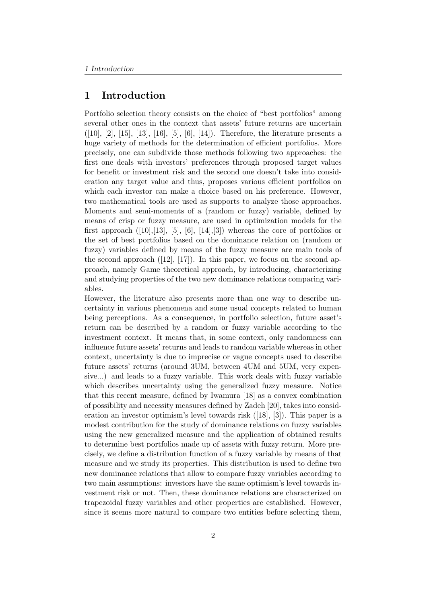#### 1 Introduction

Portfolio selection theory consists on the choice of "best portfolios" among several other ones in the context that assets' future returns are uncertain  $([10], [2], [15], [13], [16], [5], [6], [14])$ . Therefore, the literature presents a huge variety of methods for the determination of efficient portfolios. More precisely, one can subdivide those methods following two approaches: the first one deals with investors' preferences through proposed target values for benefit or investment risk and the second one doesn't take into consideration any target value and thus, proposes various efficient portfolios on which each investor can make a choice based on his preference. However, two mathematical tools are used as supports to analyze those approaches. Moments and semi-moments of a (random or fuzzy) variable, defined by means of crisp or fuzzy measure, are used in optimization models for the first approach  $([10],[13], [5], [6], [14], [3])$  whereas the core of portfolios or the set of best portfolios based on the dominance relation on (random or fuzzy) variables defined by means of the fuzzy measure are main tools of the second approach  $(12)$ ,  $(17)$ . In this paper, we focus on the second approach, namely Game theoretical approach, by introducing, characterizing and studying properties of the two new dominance relations comparing variables.

However, the literature also presents more than one way to describe uncertainty in various phenomena and some usual concepts related to human being perceptions. As a consequence, in portfolio selection, future asset's return can be described by a random or fuzzy variable according to the investment context. It means that, in some context, only randomness can influence future assets' returns and leads to random variable whereas in other context, uncertainty is due to imprecise or vague concepts used to describe future assets' returns (around 3UM, between 4UM and 5UM, very expensive...) and leads to a fuzzy variable. This work deals with fuzzy variable which describes uncertainty using the generalized fuzzy measure. Notice that this recent measure, defined by Iwamura [18] as a convex combination of possibility and necessity measures defined by Zadeh [20], takes into consideration an investor optimism's level towards risk ([18], [3]). This paper is a modest contribution for the study of dominance relations on fuzzy variables using the new generalized measure and the application of obtained results to determine best portfolios made up of assets with fuzzy return. More precisely, we define a distribution function of a fuzzy variable by means of that measure and we study its properties. This distribution is used to define two new dominance relations that allow to compare fuzzy variables according to two main assumptions: investors have the same optimism's level towards investment risk or not. Then, these dominance relations are characterized on trapezoidal fuzzy variables and other properties are established. However, since it seems more natural to compare two entities before selecting them,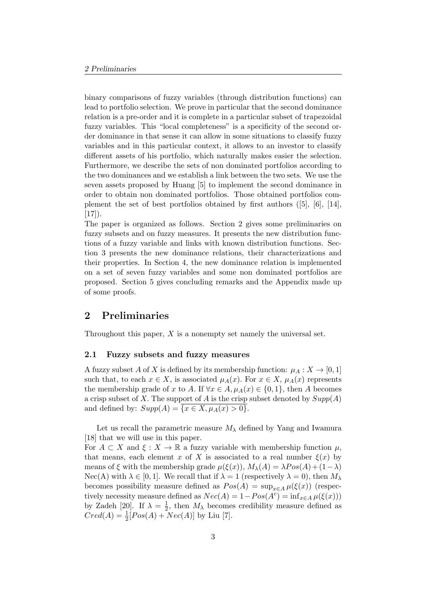binary comparisons of fuzzy variables (through distribution functions) can lead to portfolio selection. We prove in particular that the second dominance relation is a pre-order and it is complete in a particular subset of trapezoidal fuzzy variables. This "local completeness" is a specificity of the second order dominance in that sense it can allow in some situations to classify fuzzy variables and in this particular context, it allows to an investor to classify different assets of his portfolio, which naturally makes easier the selection. Furthermore, we describe the sets of non dominated portfolios according to the two dominances and we establish a link between the two sets. We use the seven assets proposed by Huang [5] to implement the second dominance in order to obtain non dominated portfolios. Those obtained portfolios complement the set of best portfolios obtained by first authors ([5], [6], [14],  $[17]$ .

The paper is organized as follows. Section 2 gives some preliminaries on fuzzy subsets and on fuzzy measures. It presents the new distribution functions of a fuzzy variable and links with known distribution functions. Section 3 presents the new dominance relations, their characterizations and their properties. In Section 4, the new dominance relation is implemented on a set of seven fuzzy variables and some non dominated portfolios are proposed. Section 5 gives concluding remarks and the Appendix made up of some proofs.

#### 2 Preliminaries

Throughout this paper,  $X$  is a nonempty set namely the universal set.

#### 2.1 Fuzzy subsets and fuzzy measures

A fuzzy subset A of X is defined by its membership function:  $\mu_A : X \to [0,1]$ such that, to each  $x \in X$ , is associated  $\mu_A(x)$ . For  $x \in X$ ,  $\mu_A(x)$  represents the membership grade of x to A. If  $\forall x \in A, \mu_A(x) \in \{0,1\}$ , then A becomes a crisp subset of X. The support of A is the crisp subset denoted by  $Supp(A)$ and defined by:  $Supp(A) = \overline{\{x \in X, \mu_A(x) > 0\}}$ .

Let us recall the parametric measure  $M_{\lambda}$  defined by Yang and Iwamura [18] that we will use in this paper.

For  $A \subset X$  and  $\xi : X \to \mathbb{R}$  a fuzzy variable with membership function  $\mu$ , that means, each element x of X is associated to a real number  $\xi(x)$  by means of  $\xi$  with the membership grade  $\mu(\xi(x))$ ,  $M_{\lambda}(A) = \lambda Pos(A) + (1-\lambda)$  $Nec(A)$  with  $\lambda \in [0,1]$ . We recall that if  $\lambda = 1$  (respectively  $\lambda = 0$ ), then  $M_{\lambda}$ becomes possibility measure defined as  $Pos(A) = \sup_{x \in A} \mu(\xi(x))$  (respectively necessity measure defined as  $Nec(A) = 1 - Pos(A<sup>c</sup>) = inf_{x \in A} \mu(\xi(x)))$ by Zadeh [20]. If  $\lambda = \frac{1}{2}$  $\frac{1}{2}$ , then  $M_{\lambda}$  becomes credibility measure defined as  $Cred(A) = \frac{1}{2}[Pos(A) + Nec(A)]$  by Liu [7].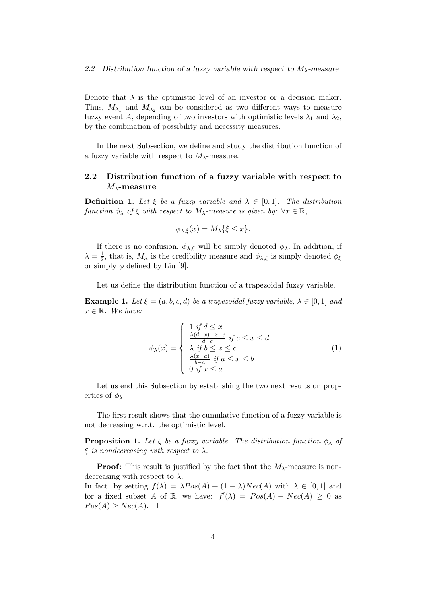Denote that  $\lambda$  is the optimistic level of an investor or a decision maker. Thus,  $M_{\lambda_1}$  and  $M_{\lambda_2}$  can be considered as two different ways to measure fuzzy event A, depending of two investors with optimistic levels  $\lambda_1$  and  $\lambda_2$ , by the combination of possibility and necessity measures.

In the next Subsection, we define and study the distribution function of a fuzzy variable with respect to  $M_{\lambda}$ -measure.

#### 2.2 Distribution function of a fuzzy variable with respect to  $M_{\lambda}$ -measure

**Definition 1.** Let  $\xi$  be a fuzzy variable and  $\lambda \in [0,1]$ . The distribution function  $\phi_{\lambda}$  of  $\xi$  with respect to  $M_{\lambda}$ -measure is given by:  $\forall x \in \mathbb{R}$ ,

$$
\phi_{\lambda,\xi}(x) = M_{\lambda}\{\xi \le x\}.
$$

If there is no confusion,  $\phi_{\lambda,\xi}$  will be simply denoted  $\phi_{\lambda}$ . In addition, if  $\lambda = \frac{1}{2}$  $\frac{1}{2}$ , that is,  $M_{\lambda}$  is the credibility measure and  $\phi_{\lambda,\xi}$  is simply denoted  $\phi_{\xi}$ or simply  $\phi$  defined by Liu [9].

Let us define the distribution function of a trapezoidal fuzzy variable.

**Example 1.** Let  $\xi = (a, b, c, d)$  be a trapezoidal fuzzy variable,  $\lambda \in [0, 1]$  and  $x \in \mathbb{R}$ . We have:

$$
\phi_{\lambda}(x) = \begin{cases}\n1 & \text{if } d \leq x \\
\frac{\lambda(d-x) + x - c}{d-c} & \text{if } c \leq x \leq d \\
\lambda & \text{if } b \leq x \leq c \\
\frac{\lambda(x-a)}{b-a} & \text{if } a \leq x \leq b \\
0 & \text{if } x \leq a\n\end{cases} (1)
$$

Let us end this Subsection by establishing the two next results on properties of  $\phi_{\lambda}$ .

The first result shows that the cumulative function of a fuzzy variable is not decreasing w.r.t. the optimistic level.

**Proposition 1.** Let  $\xi$  be a fuzzy variable. The distribution function  $\phi_{\lambda}$  of  $\xi$  is nondecreasing with respect to  $\lambda$ .

**Proof:** This result is justified by the fact that the  $M_{\lambda}$ -measure is nondecreasing with respect to  $\lambda$ . In fact, by setting  $f(\lambda) = \lambda Pos(A) + (1 - \lambda)Nec(A)$  with  $\lambda \in [0, 1]$  and for a fixed subset A of R, we have:  $f'(\lambda) = Pos(A) - Nec(A) \geq 0$  as  $Pos(A) \geq Nec(A). \square$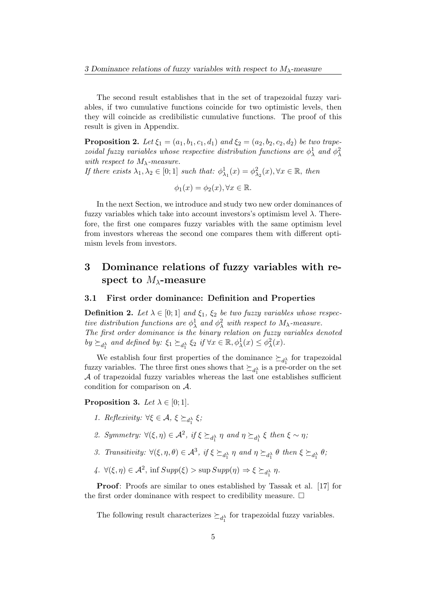The second result establishes that in the set of trapezoidal fuzzy variables, if two cumulative functions coincide for two optimistic levels, then they will coincide as credibilistic cumulative functions. The proof of this result is given in Appendix.

**Proposition 2.** Let  $\xi_1 = (a_1, b_1, c_1, d_1)$  and  $\xi_2 = (a_2, b_2, c_2, d_2)$  be two trapezoidal fuzzy variables whose respective distribution functions are  $\phi^1_\lambda$  and  $\phi^2_\lambda$ with respect to  $M_{\lambda}$ -measure.

If there exists  $\lambda_1, \lambda_2 \in [0; 1]$  such that:  $\phi^1_{\lambda_1}(x) = \phi^2_{\lambda_2}(x), \forall x \in \mathbb{R}$ , then

 $\phi_1(x) = \phi_2(x), \forall x \in \mathbb{R}.$ 

In the next Section, we introduce and study two new order dominances of fuzzy variables which take into account investors's optimism level  $\lambda$ . Therefore, the first one compares fuzzy variables with the same optimism level from investors whereas the second one compares them with different optimism levels from investors.

## 3 Dominance relations of fuzzy variables with respect to  $M_{\lambda}$ -measure

#### 3.1 First order dominance: Definition and Properties

**Definition 2.** Let  $\lambda \in [0, 1]$  and  $\xi_1$ ,  $\xi_2$  be two fuzzy variables whose respective distribution functions are  $\phi_{\lambda}^1$  and  $\phi_{\lambda}^2$  with respect to  $M_{\lambda}$ -measure. The first order dominance is the binary relation on fuzzy variables denoted by  $\succeq_{d_1^{\lambda}}$  and defined by:  $\xi_1 \succeq_{d_1^{\lambda}} \xi_2$  if  $\forall x \in \mathbb{R}, \phi_{\lambda}^1(x) \leq \phi_{\lambda}^2(x)$ .

We establish four first properties of the dominance  $\succeq_{d_1^{\lambda}}$  for trapezoidal fuzzy variables. The three first ones shows that  $\succeq_{d_1^{\lambda}}$  is a pre-order on the set  $A$  of trapezoidal fuzzy variables whereas the last one establishes sufficient condition for comparison on A.

#### **Proposition 3.** Let  $\lambda \in [0, 1]$ .

- 1. Reflexivity:  $\forall \xi \in \mathcal{A}, \xi \succeq_{d_1^{\lambda}} \xi$ ;
- 2. Symmetry:  $\forall (\xi, \eta) \in \mathcal{A}^2$ , if  $\xi \succeq_{d_1^{\lambda}} \eta$  and  $\eta \succeq_{d_1^{\lambda}} \xi$  then  $\xi \sim \eta$ ;
- 3. Transitivity:  $\forall (\xi, \eta, \theta) \in \mathcal{A}^3$ , if  $\xi \succeq_{d_1^{\lambda}} \eta$  and  $\eta \succeq_{d_1^{\lambda}} \theta$  then  $\xi \succeq_{d_1^{\lambda}} \theta$ ;
- 4.  $\forall (\xi, \eta) \in \mathcal{A}^2$ , inf  $Supp(\xi) > \sup Supp(\eta) \Rightarrow \xi \succeq_{d_1^{\lambda}} \eta$ .

Proof: Proofs are similar to ones established by Tassak et al. [17] for the first order dominance with respect to credibility measure.  $\Box$ 

The following result characterizes  $\succeq_{d_1^{\lambda}}$  for trapezoidal fuzzy variables.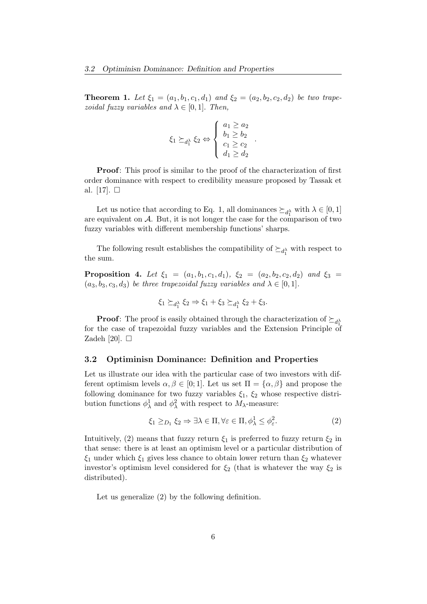**Theorem 1.** Let  $\xi_1 = (a_1, b_1, c_1, d_1)$  and  $\xi_2 = (a_2, b_2, c_2, d_2)$  be two trapezoidal fuzzy variables and  $\lambda \in [0,1]$ . Then,

$$
\xi_1 \succeq_{d_1^{\lambda}} \xi_2 \Leftrightarrow \begin{cases} a_1 \ge a_2 \\ b_1 \ge b_2 \\ c_1 \ge c_2 \\ d_1 \ge d_2 \end{cases}
$$

.

Proof: This proof is similar to the proof of the characterization of first order dominance with respect to credibility measure proposed by Tassak et al. [17].  $\square$ 

Let us notice that according to Eq. 1, all dominances  $\succeq_{d_1^{\lambda}}$  with  $\lambda \in [0,1]$ are equivalent on A. But, it is not longer the case for the comparison of two fuzzy variables with different membership functions' sharps.

The following result establishes the compatibility of  $\succeq_{d_1^\lambda}$  with respect to the sum.

**Proposition 4.** Let  $\xi_1 = (a_1, b_1, c_1, d_1), \xi_2 = (a_2, b_2, c_2, d_2)$  and  $\xi_3 =$  $(a_3, b_3, c_3, d_3)$  be three trapezoidal fuzzy variables and  $\lambda \in [0, 1]$ .

$$
\xi_1 \succeq_{d_1^{\lambda}} \xi_2 \Rightarrow \xi_1 + \xi_3 \succeq_{d_1^{\lambda}} \xi_2 + \xi_3.
$$

**Proof:** The proof is easily obtained through the characterization of  $\succeq_{d_1^{\lambda}}$ for the case of trapezoidal fuzzy variables and the Extension Principle of Zadeh [20].  $\Box$ 

#### 3.2 Optiminisn Dominance: Definition and Properties

Let us illustrate our idea with the particular case of two investors with different optimism levels  $\alpha, \beta \in [0, 1]$ . Let us set  $\Pi = {\alpha, \beta}$  and propose the following dominance for two fuzzy variables  $\xi_1$ ,  $\xi_2$  whose respective distribution functions  $\phi_{\lambda}^1$  and  $\phi_{\lambda}^2$  with respect to  $M_{\lambda}$ -measure:

$$
\xi_1 \geq_{D_1} \xi_2 \Rightarrow \exists \lambda \in \Pi, \forall \varepsilon \in \Pi, \phi_\lambda^1 \leq \phi_\varepsilon^2. \tag{2}
$$

Intuitively, (2) means that fuzzy return  $\xi_1$  is preferred to fuzzy return  $\xi_2$  in that sense: there is at least an optimism level or a particular distribution of  $\xi_1$  under which  $\xi_1$  gives less chance to obtain lower return than  $\xi_2$  whatever investor's optimism level considered for  $\xi_2$  (that is whatever the way  $\xi_2$  is distributed).

Let us generalize (2) by the following definition.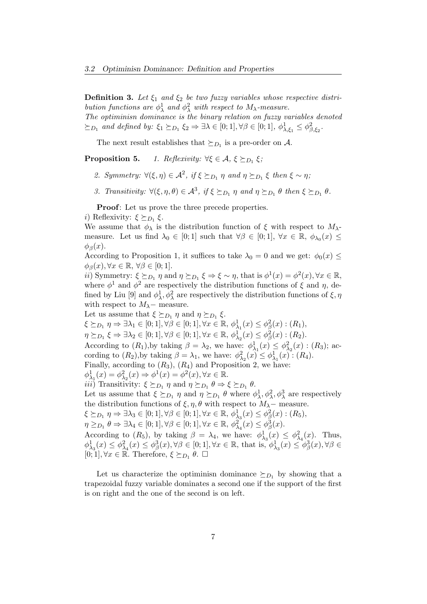**Definition 3.** Let  $\xi_1$  and  $\xi_2$  be two fuzzy variables whose respective distribution functions are  $\phi_{\lambda}^1$  and  $\phi_{\lambda}^2$  with respect to  $M_{\lambda}$ -measure.

The optiminisn dominance is the binary relation on fuzzy variables denoted  $\succeq_{D_1}$  and defined by:  $\xi_1 \succeq_{D_1} \xi_2 \Rightarrow \exists \lambda \in [0;1], \forall \beta \in [0;1], \phi_{\lambda,\xi_1}^1 \leq \phi_{\beta,\xi_2}^2$ .

The next result establishes that  $\succeq_{D_1}$  is a pre-order on A.

**Proposition 5.** 1. Reflexivity:  $\forall \xi \in \mathcal{A}, \xi \succeq_{D_1} \xi$ ;

- 2. Symmetry:  $\forall (\xi, \eta) \in \mathcal{A}^2$ , if  $\xi \succeq_{D_1} \eta$  and  $\eta \succeq_{D_1} \xi$  then  $\xi \sim \eta$ ;
- 3. Transitivity:  $\forall (\xi, \eta, \theta) \in \mathcal{A}^3$ , if  $\xi \succeq_{D_1} \eta$  and  $\eta \succeq_{D_1} \theta$  then  $\xi \succeq_{D_1} \theta$ .

Proof: Let us prove the three precede properties.

*i*) Reflexivity:  $\xi \succeq_{D_1} \xi$ .

We assume that  $\phi_{\lambda}$  is the distribution function of  $\xi$  with respect to  $M_{\lambda}$ measure. Let us find  $\lambda_0 \in [0;1]$  such that  $\forall \beta \in [0;1]$ ,  $\forall x \in \mathbb{R}$ ,  $\phi_{\lambda_0}(x) \leq$  $\phi_{\beta}(x)$ .

According to Proposition 1, it suffices to take  $\lambda_0 = 0$  and we get:  $\phi_0(x) \leq$  $\phi_{\beta}(x), \forall x \in \mathbb{R}, \forall \beta \in [0;1].$ 

*ii*) Symmetry:  $\xi \succeq_{D_1} \eta$  and  $\eta \succeq_{D_1} \xi \Rightarrow \xi \sim \eta$ , that is  $\phi^1(x) = \phi^2(x)$ ,  $\forall x \in \mathbb{R}$ , where  $\phi^1$  and  $\phi^2$  are respectively the distribution functions of  $\xi$  and  $\eta$ , defined by Liu [9] and  $\phi^1_\lambda, \phi^2_\lambda$  are respectively the distribution functions of  $\xi, \eta$ with respect to  $M_{\lambda}$  – measure.

Let us assume that  $\xi \succeq_{D_1} \eta$  and  $\eta \succeq_{D_1} \xi$ .  $\xi \succeq_{D_1} \eta \Rightarrow \exists \lambda_1 \in [0;1], \forall \beta \in [0;1], \forall x \in \mathbb{R}, \phi^1_{\lambda_1}(x) \leq \phi^2_{\beta}(x) : (R_1),$  $\eta \succeq_{D_1} \xi \Rightarrow \exists \lambda_2 \in [0;1], \forall \beta \in [0;1], \forall x \in \mathbb{R}, \phi_{\lambda_2}^1(x) \leq \phi_{\beta}^2(x) : (R_2).$ According to  $(R_1)$ , by taking  $\beta = \lambda_2$ , we have:  $\phi^1_{\lambda_1}(x) \leq \phi^2_{\lambda_2}(x)$ :  $(R_3)$ ; according to  $(R_2)$ , by taking  $\beta = \lambda_1$ , we have:  $\phi_{\lambda_2}^2(x) \leq \phi_{\lambda_1}^1(x)$ :  $(R_4)$ . Finally, according to  $(R_3)$ ,  $(R_4)$  and Proposition 2, we have:  $\phi_{\lambda_1}^1(x) = \phi_{\lambda_2}^2(x) \Rightarrow \phi^1(x) = \phi^2(x), \forall x \in \mathbb{R}.$ *iii*) Transitivity:  $\xi \succeq_{D_1} \eta$  and  $\eta \succeq_{D_1} \theta \Rightarrow \xi \succeq_{D_1} \theta$ . Let us assume that  $\xi \succeq_{D_1} \eta$  and  $\eta \succeq_{D_1} \theta$  where  $\phi_\lambda^1, \phi_\lambda^2, \phi_\lambda^3$  are respectively the distribution functions of  $\xi, \eta, \theta$  with respect to  $M_\lambda$  – measure.  $\xi \succeq_{D_1} \eta \Rightarrow \exists \lambda_3 \in [0;1], \forall \beta \in [0;1], \forall x \in \mathbb{R}, \phi_{\lambda_3}^1(x) \leq \phi_{\beta}^2(x) : (R_5),$  $\eta \geq_{D_1} \theta \Rightarrow \exists \lambda_4 \in [0;1], \forall \beta \in [0;1], \forall x \in \mathbb{R}, \phi^2_{\lambda_4}(x) \leq \phi^3_{\beta}(x).$ According to  $(R_5)$ , by taking  $\beta = \lambda_4$ , we have:  $\phi^1_{\lambda_3}(x) \leq \phi^2_{\lambda_4}(x)$ . Thus,  $\phi_{\lambda_3}^1(x) \leq \phi_{\lambda_4}^2(x) \leq \phi_{\beta}^3(x), \forall \beta \in [0,1], \forall x \in \mathbb{R}, \text{ that is, } \phi_{\lambda_3}^1(x) \leq \phi_{\beta}^3(x), \forall \beta \in$  $[0, 1], \forall x \in \mathbb{R}$ . Therefore,  $\xi \succeq_{D_1} \theta$ .  $\Box$ 

Let us characterize the optiminisn dominance  $\succeq_{D_1}$  by showing that a trapezoidal fuzzy variable dominates a second one if the support of the first is on right and the one of the second is on left.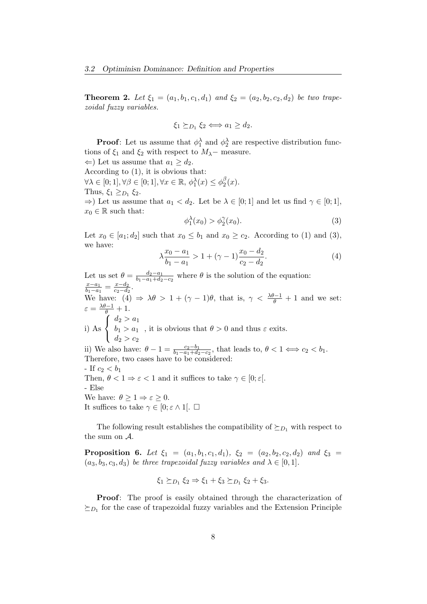**Theorem 2.** Let  $\xi_1 = (a_1, b_1, c_1, d_1)$  and  $\xi_2 = (a_2, b_2, c_2, d_2)$  be two trapezoidal fuzzy variables.

$$
\xi_1 \succeq_{D_1} \xi_2 \Longleftrightarrow a_1 \geq d_2.
$$

**Proof**: Let us assume that  $\phi_1^{\lambda}$  and  $\phi_2^{\lambda}$  are respective distribution functions of  $\xi_1$  and  $\xi_2$  with respect to  $M_\lambda$  – measure.

 $\Leftarrow$ ) Let us assume that  $a_1 ≥ d_2$ . According to  $(1)$ , it is obvious that:  $\forall \lambda \in [0; 1], \forall \beta \in [0; 1], \forall x \in \mathbb{R}, \phi_1^{\lambda}(x) \leq \phi_2^{\beta}$  $\frac{\beta}{2}(x).$ Thus,  $\xi_1 \geq_{D_1} \xi_2$ .  $\Rightarrow$ ) Let us assume that  $a_1 < d_2$ . Let be  $\lambda \in [0; 1]$  and let us find  $\gamma \in [0; 1]$ ,  $x_0 \in \mathbb{R}$  such that:

$$
\phi_1^{\lambda}(x_0) > \phi_2^{\gamma}(x_0). \tag{3}
$$

Let  $x_0 \in [a_1; d_2]$  such that  $x_0 \leq b_1$  and  $x_0 \geq c_2$ . According to (1) and (3), we have:

$$
\lambda \frac{x_0 - a_1}{b_1 - a_1} > 1 + (\gamma - 1) \frac{x_0 - d_2}{c_2 - d_2}.
$$
 (4)

Let us set  $\theta = \frac{d_2 - a_1}{b_1 - a_1 + d_2}$  $\frac{d_2-a_1}{b_1-a_1+d_2-c_2}$  where  $\theta$  is the solution of the equation:  $x-a_1$  $\frac{x-a_1}{b_1-a_1} = \frac{x-d_2}{c_2-d_2}$  $\frac{x-a_2}{c_2-d_2}$ . We have: (4)  $\Rightarrow \lambda \theta > 1 + (\gamma - 1)\theta$ , that is,  $\gamma < \frac{\lambda \theta - 1}{\theta} + 1$  and we set:  $\varepsilon = \frac{\lambda \theta - 1}{\theta} + 1.$ i) As  $\sqrt{ }$  $\mathbf{J}$  $\mathcal{L}$  $d_2 > a_1$  $b_1 > a_1$  $d_2 > c_2$ , it is obvious that  $\theta > 0$  and thus  $\varepsilon$  exits. ii) We also have:  $\theta - 1 = \frac{c_2 - b_1}{b_1 - a_1 + d_2 - c_2}$ , that leads to,  $\theta < 1 \Longleftrightarrow c_2 < b_1$ . Therefore, two cases have to be considered: - If  $c_2 < b_1$ Then,  $\theta < 1 \Rightarrow \varepsilon < 1$  and it suffices to take  $\gamma \in [0; \varepsilon]$ . - Else We have:  $\theta \geq 1 \Rightarrow \varepsilon \geq 0$ . It suffices to take  $\gamma \in [0; \varepsilon \wedge 1]$ .  $\Box$ 

The following result establishes the compatibility of  $\succeq_{D_1}$  with respect to the sum on A.

**Proposition 6.** Let  $\xi_1 = (a_1, b_1, c_1, d_1), \xi_2 = (a_2, b_2, c_2, d_2)$  and  $\xi_3 =$  $(a_3, b_3, c_3, d_3)$  be three trapezoidal fuzzy variables and  $\lambda \in [0, 1]$ .

$$
\xi_1 \succeq_{D_1} \xi_2 \Rightarrow \xi_1 + \xi_3 \succeq_{D_1} \xi_2 + \xi_3.
$$

Proof: The proof is easily obtained through the characterization of  $\succeq_{D_1}$  for the case of trapezoidal fuzzy variables and the Extension Principle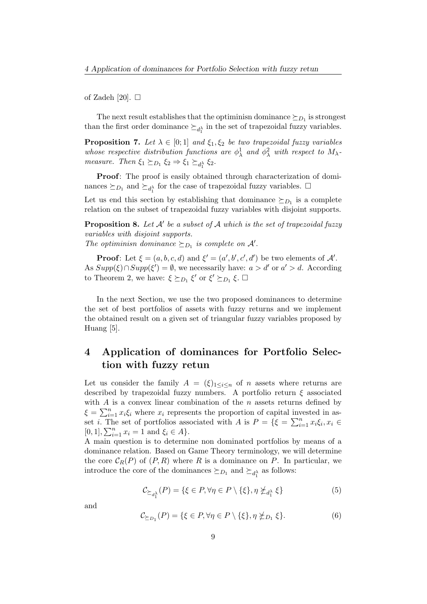of Zadeh [20].  $\square$ 

The next result establishes that the optiminisn dominance  $\succeq_{D_1}$  is strongest than the first order dominance  $\succeq_{d_1^{\lambda}}$  in the set of trapezoidal fuzzy variables.

**Proposition 7.** Let  $\lambda \in [0,1]$  and  $\xi_1, \xi_2$  be two trapezoidal fuzzy variables whose respective distribution functions are  $\phi^1_\lambda$  and  $\phi^2_\lambda$  with respect to  $M_\lambda$ . measure. Then  $\xi_1 \succeq_{D_1} \xi_2 \Rightarrow \xi_1 \succeq_{d_1^{\lambda}} \xi_2$ .

Proof: The proof is easily obtained through characterization of dominances  $\succeq_{D_1}$  and  $\succeq_{d_1^{\lambda}}$  for the case of trapezoidal fuzzy variables.  $\square$ 

Let us end this section by establishing that dominance  $\succeq_{D_1}$  is a complete relation on the subset of trapezoidal fuzzy variables with disjoint supports.

**Proposition 8.** Let  $A'$  be a subset of  $A$  which is the set of trapezoidal fuzzy variables with disjoint supports.

The optiminisn dominance  $\succeq_{D_1}$  is complete on A'.

**Proof:** Let  $\xi = (a, b, c, d)$  and  $\xi' = (a', b', c', d')$  be two elements of A'. As  $Supp(\xi) \cap Supp(\xi') = \emptyset$ , we necessarily have:  $a > d'$  or  $a' > d$ . According to Theorem 2, we have:  $\xi \succeq_{D_1} \xi'$  or  $\xi' \succeq_{D_1} \xi$ .  $\Box$ 

In the next Section, we use the two proposed dominances to determine the set of best portfolios of assets with fuzzy returns and we implement the obtained result on a given set of triangular fuzzy variables proposed by Huang [5].

## 4 Application of dominances for Portfolio Selection with fuzzy retun

Let us consider the family  $A = (\xi)_{1 \leq i \leq n}$  of n assets where returns are described by trapezoidal fuzzy numbers. A portfolio return  $\xi$  associated with  $A$  is a convex linear combination of the  $n$  assets returns defined by  $\xi = \sum_{i=1}^{n} x_i \xi_i$  where  $x_i$  represents the proportion of capital invested in asset *i*. The set of portfolios associated with A is  $P = \{\xi = \sum_{i=1}^{n} x_i \xi_i, x_i \in$  $[0, 1], \sum_{i=1}^{n} x_i = 1$  and  $\xi_i \in A$ .

A main question is to determine non dominated portfolios by means of a dominance relation. Based on Game Theory terminology, we will determine the core  $C_R(P)$  of  $(P, R)$  where R is a dominance on P. In particular, we introduce the core of the dominances  $\succeq_{D_1}$  and  $\succeq_{d_1^{\lambda}}$  as follows:

$$
\mathcal{C}_{\succeq_{d_1^{\lambda}}}(P) = \{ \xi \in P, \forall \eta \in P \setminus \{ \xi \}, \eta \npreceq_{d_1^{\lambda}} \xi \} \tag{5}
$$

and

$$
\mathcal{C}_{\succeq_{D_1}}(P) = \{ \xi \in P, \forall \eta \in P \setminus \{ \xi \}, \eta \npreceq_{D_1} \xi \}. \tag{6}
$$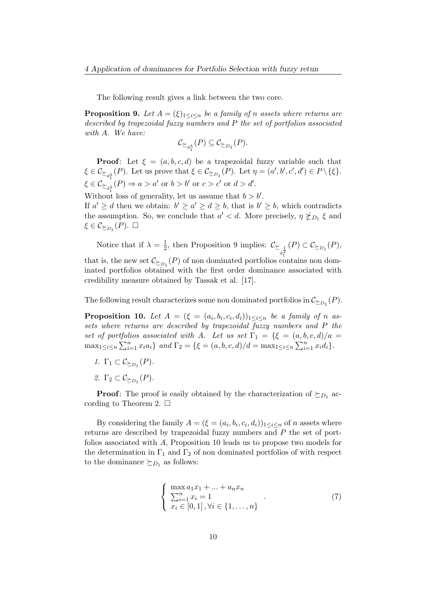The following result gives a link between the two core.

**Proposition 9.** Let  $A = (\xi)_{1 \leq i \leq n}$  be a family of n assets where returns are described by trapezoidal fuzzy numbers and P the set of portfolios associated with A. We have:

$$
\mathcal{C}_{\succeq_{d_1^{\lambda}}}(P) \subseteq \mathcal{C}_{\succeq_{D_1}}(P).
$$

**Proof:** Let  $\xi = (a, b, c, d)$  be a trapezoidal fuzzy variable such that  $\xi \in \mathcal{C}_{\succeq_{d_1^{\lambda}}}(P)$ . Let us prove that  $\xi \in \mathcal{C}_{\succeq_{D_1}}(P)$ . Let  $\eta = (a', b', c', d') \in P \setminus \{\xi\}.$  $\xi \in \mathcal{C}_{\succeq_{d_1^{\lambda}}}(P) \Rightarrow a > a'$  or  $b > b'$  or  $c > c'$  or  $d > d'$ .

Without loss of generality, let us assume that  $b > b'$ . If  $a' \geq d$  then we obtain:  $b' \geq a' \geq d \geq b$ , that is  $b' \geq b$ , which contradicts the assumption. So, we conclude that  $a' < d$ . More precisely,  $\eta \nleq_{D_1} \xi$  and  $\xi \in \mathcal{C}_{\succeq_{D_1}}(P).$   $\square$ 

Notice that if  $\lambda = \frac{1}{2}$  $\frac{1}{2}$ , then Proposition 9 implies:  $\mathcal{C}_{\succeq_{d^2}}(P) \subset \mathcal{C}_{\succeq_{D_1}}(P)$ , that is, the new set  $\mathcal{C}_{\succeq_{D_1}}(P)$  of non dominated portfolios contains non dominated portfolios obtained with the first order dominance associated with credibility measure obtained by Tassak et al. [17].

The following result characterizes some non dominated portfolios in  $\mathcal{C}_{\succeq_{D_1}}(P)$ .

**Proposition 10.** Let  $A = (\xi = (a_i, b_i, c_i, d_i))_{1 \leq i \leq n}$  be a family of n assets where returns are described by trapezoidal fuzzy numbers and P the set of portfolios associated with A. Let us set  $\Gamma_1 = \{\xi = (a, b, c, d)/a =$  $\max_{1 \leq i \leq n} \sum_{i=1}^{n} x_i a_i \}$  and  $\Gamma_2 = \{ \xi = (a, b, c, d) / d = \max_{1 \leq i \leq n} \sum_{i=1}^{n} x_i d_i \}.$ 

- 1.  $\Gamma_1 \subset \mathcal{C}_{\succeq_{D_1}}(P)$ .
- 2.  $\Gamma_2 \subset \mathcal{C}_{\succeq_{D_1}}(P)$ .

**Proof:** The proof is easily obtained by the characterization of  $\succeq_{D_1}$  according to Theorem 2.  $\square$ 

By considering the family  $A = (\xi = (a_i, b_i, c_i, d_i))_{1 \leq i \leq n}$  of *n* assets where returns are described by trapezoidal fuzzy numbers and P the set of portfolios associated with A, Proposition 10 leads us to propose two models for the determination in  $\Gamma_1$  and  $\Gamma_2$  of non dominated portfolios of with respect to the dominance  $\succeq_{D_1}$  as follows:

$$
\begin{cases}\n\max a_1 x_1 + \dots + a_n x_n \\
\sum_{i=1}^n x_i = 1 \\
x_i \in [0, 1], \forall i \in \{1, \dots, n\}\n\end{cases} \tag{7}
$$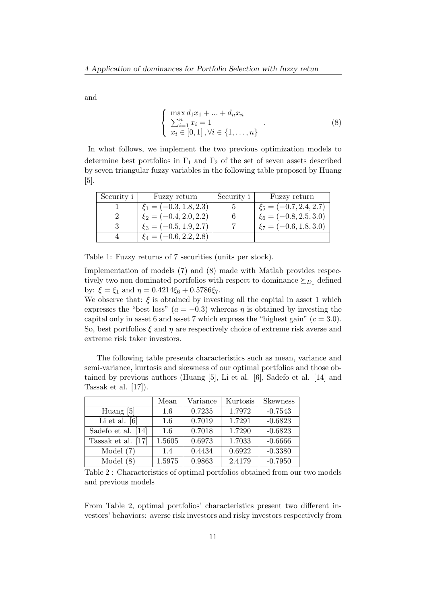and

$$
\begin{cases}\n\max d_1 x_1 + \dots + d_n x_n \\
\sum_{i=1}^n x_i = 1 \\
x_i \in [0, 1], \forall i \in \{1, \dots, n\}\n\end{cases} \tag{8}
$$

In what follows, we implement the two previous optimization models to determine best portfolios in  $\Gamma_1$  and  $\Gamma_2$  of the set of seven assets described by seven triangular fuzzy variables in the following table proposed by Huang [5].

| Security $i$ | Fuzzy return               | Security i | Fuzzy return               |
|--------------|----------------------------|------------|----------------------------|
|              | $\xi_1 = (-0.3, 1.8, 2.3)$ |            | $\xi_5 = (-0.7, 2.4, 2.7)$ |
|              | $\xi_2 = (-0.4, 2.0, 2.2)$ |            | $\xi_6 = (-0.8, 2.5, 3.0)$ |
|              | $\xi_3 = (-0.5, 1.9, 2.7)$ |            | $\xi_7 = (-0.6, 1.8, 3.0)$ |
|              | $\xi_4 = (-0.6, 2.2, 2.8)$ |            |                            |

Table 1: Fuzzy returns of 7 securities (units per stock).

Implementation of models (7) and (8) made with Matlab provides respectively two non dominated portfolios with respect to dominance  $\succeq_{D_1}$  defined by:  $\xi = \xi_1$  and  $\eta = 0.4214\xi_6 + 0.5786\xi_7$ .

We observe that:  $\xi$  is obtained by investing all the capital in asset 1 which expresses the "best loss" ( $a = -0.3$ ) whereas  $\eta$  is obtained by investing the capital only in asset 6 and asset 7 which express the "highest gain"  $(c = 3.0)$ . So, best portfolios  $\xi$  and  $\eta$  are respectively choice of extreme risk averse and extreme risk taker investors.

The following table presents characteristics such as mean, variance and semi-variance, kurtosis and skewness of our optimal portfolios and those obtained by previous authors (Huang [5], Li et al. [6], Sadefo et al. [14] and Tassak et al. [17]).

|                    | Mean   | Variance | Kurtosis | <b>Skewness</b> |
|--------------------|--------|----------|----------|-----------------|
| Huang $[5]$        | 1.6    | 0.7235   | 1.7972   | $-0.7543$       |
| Li et al. $[6]$    | 1.6    | 0.7019   | 1.7291   | $-0.6823$       |
| Sadefo et al. [14] | 1.6    | 0.7018   | 1.7290   | $-0.6823$       |
| Tassak et al. [17] | 1.5605 | 0.6973   | 1.7033   | $-0.6666$       |
| Model $(7)$        | 1.4    | 0.4434   | 0.6922   | $-0.3380$       |
| Model $(8)$        | 1.5975 | 0.9863   | 2.4179   | $-0.7950$       |

Table 2 : Characteristics of optimal portfolios obtained from our two models and previous models

From Table 2, optimal portfolios' characteristics present two different investors' behaviors: averse risk investors and risky investors respectively from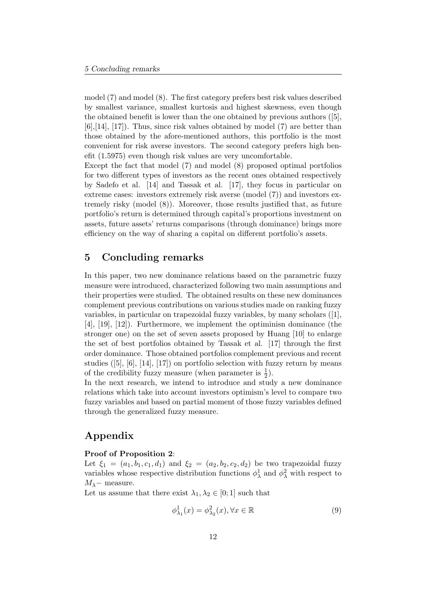model (7) and model (8). The first category prefers best risk values described by smallest variance, smallest kurtosis and highest skewness, even though the obtained benefit is lower than the one obtained by previous authors ([5], [6],[14], [17]). Thus, since risk values obtained by model (7) are better than those obtained by the afore-mentioned authors, this portfolio is the most convenient for risk averse investors. The second category prefers high benefit (1.5975) even though risk values are very uncomfortable.

Except the fact that model (7) and model (8) proposed optimal portfolios for two different types of investors as the recent ones obtained respectively by Sadefo et al. [14] and Tassak et al. [17], they focus in particular on extreme cases: investors extremely risk averse (model (7)) and investors extremely risky (model (8)). Moreover, those results justified that, as future portfolio's return is determined through capital's proportions investment on assets, future assets' returns comparisons (through dominance) brings more efficiency on the way of sharing a capital on different portfolio's assets.

### 5 Concluding remarks

In this paper, two new dominance relations based on the parametric fuzzy measure were introduced, characterized following two main assumptions and their properties were studied. The obtained results on these new dominances complement previous contributions on various studies made on ranking fuzzy variables, in particular on trapezoidal fuzzy variables, by many scholars ([1], [4], [19], [12]). Furthermore, we implement the optiminisn dominance (the stronger one) on the set of seven assets proposed by Huang [10] to enlarge the set of best portfolios obtained by Tassak et al. [17] through the first order dominance. Those obtained portfolios complement previous and recent studies ([5], [6], [14], [17]) on portfolio selection with fuzzy return by means of the credibility fuzzy measure (when parameter is  $\frac{1}{2}$ ).

In the next research, we intend to introduce and study a new dominance relations which take into account investors optimism's level to compare two fuzzy variables and based on partial moment of those fuzzy variables defined through the generalized fuzzy measure.

## Appendix

#### Proof of Proposition 2:

Let  $\xi_1 = (a_1, b_1, c_1, d_1)$  and  $\xi_2 = (a_2, b_2, c_2, d_2)$  be two trapezoidal fuzzy variables whose respective distribution functions  $\phi_{\lambda}^1$  and  $\phi_{\lambda}^2$  with respect to  $M_{\lambda}$ − measure.

Let us assume that there exist  $\lambda_1, \lambda_2 \in [0; 1]$  such that

$$
\phi_{\lambda_1}^1(x) = \phi_{\lambda_2}^2(x), \forall x \in \mathbb{R} \tag{9}
$$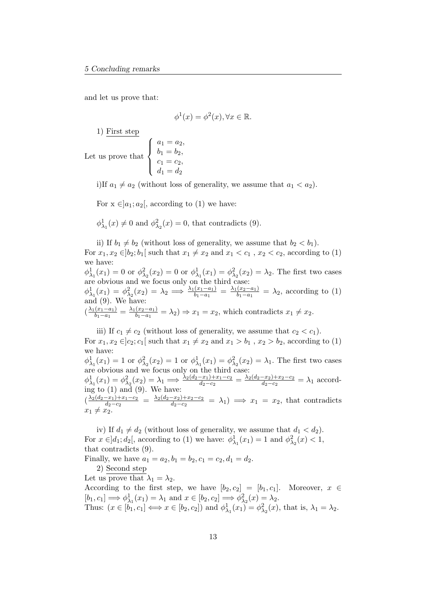and let us prove that:

$$
\phi^1(x) = \phi^2(x), \forall x \in \mathbb{R}.
$$

1) First step

Let us prove that  $\sqrt{ }$  $\int$  $\overline{\mathcal{L}}$  $a_1 = a_2,$  $b_1 = b_2,$  $c_1 = c_2,$  $d_1 = d_2$ 

i)If  $a_1 \neq a_2$  (without loss of generality, we assume that  $a_1 < a_2$ ).

For  $x \in ]a_1; a_2[$ , according to (1) we have:

 $\phi_{\lambda_1}^1(x) \neq 0$  and  $\phi_{\lambda_2}^2(x) = 0$ , that contradicts (9).

ii) If  $b_1 \neq b_2$  (without loss of generality, we assume that  $b_2 < b_1$ ). For  $x_1, x_2 \in ]b_2; b_1[$  such that  $x_1 \neq x_2$  and  $x_1 < c_1$ ,  $x_2 < c_2$ , according to (1) we have:  $\phi_{\lambda_1}^1(x_1) = 0$  or  $\phi_{\lambda_2}^2(x_2) = 0$  or  $\phi_{\lambda_1}^1(x_1) = \phi_{\lambda_2}^2(x_2) = \lambda_2$ . The first two cases are obvious and we focus only on the third case:  $\phi_{\lambda_1}^1(x_1) = \phi_{\lambda_2}^2(x_2) = \lambda_2 \implies \frac{\lambda_1(x_1 - a_1)}{b_1 - a_1} = \frac{\lambda_1(x_2 - a_1)}{b_1 - a_1}$  $\frac{(x_2-a_1)}{b_1-a_1} = \lambda_2$ , according to (1) and (9). We have:  $\left(\frac{\lambda_1(x_1-a_1)}{b_1-a_1}\right)$  $\frac{(x_1-a_1)}{b_1-a_1}=\frac{\lambda_1(x_2-a_1)}{b_1-a_1}$  $\frac{(x_2-a_1)}{b_1-a_1} = \lambda_2$   $\Rightarrow$   $x_1 = x_2$ , which contradicts  $x_1 \neq x_2$ .

iii) If  $c_1 \neq c_2$  (without loss of generality, we assume that  $c_2 < c_1$ ). For  $x_1, x_2 \in ]c_2; c_1[$  such that  $x_1 \neq x_2$  and  $x_1 > b_1$ ,  $x_2 > b_2$ , according to (1) we have:  $\phi_{\lambda_1}^1(x_1) = 1$  or  $\phi_{\lambda_2}^2(x_2) = 1$  or  $\phi_{\lambda_1}^1(x_1) = \phi_{\lambda_2}^2(x_2) = \lambda_1$ . The first two cases are obvious and we focus only on the third case:  $\phi_{\lambda_1}^1(x_1) = \phi_{\lambda_2}^2(x_2) = \lambda_1 \Longrightarrow \frac{\lambda_2(d_2-x_1)+x_1-c_2}{d_2-c_2} = \frac{\lambda_2(d_2-x_2)+x_2-c_2}{d_2-c_2}$  $\frac{-x_2+x_2-c_2}{d_2-c_2} = \lambda_1$  according to (1) and (9). We have:  $\left(\frac{\lambda_2(d_2-x_1)+x_1-c_2}{d_2-c_2}\right)$  $\frac{-x_1+x_1-c_2}{d_2-c_2} = \frac{\lambda_2(d_2-x_2)+x_2-c_2}{d_2-c_2}$  $\frac{-x_2+x_2-c_2}{d_2-c_2} = \lambda_1$   $\implies x_1 = x_2$ , that contradicts  $x_1 \neq x_2$ .

iv) If  $d_1 \neq d_2$  (without loss of generality, we assume that  $d_1 < d_2$ ). For  $x \in ]d_1; d_2[$ , according to (1) we have:  $\phi_{\lambda_1}^1(x_1) = 1$  and  $\phi_{\lambda_2}^2(x) < 1$ , that contradicts (9). Finally, we have  $a_1 = a_2, b_1 = b_2, c_1 = c_2, d_1 = d_2$ .

2) Second step

Let us prove that  $\lambda_1 = \lambda_2$ .

According to the first step, we have  $[b_2, c_2] = [b_1, c_1]$ . Moreover,  $x \in$  $[b_1, c_1] \Longrightarrow \phi_{\lambda_1}^1(x_1) = \lambda_1 \text{ and } x \in [b_2, c_2] \Longrightarrow \phi_{\lambda_2}^2(x) = \lambda_2.$ Thus:  $(x \in [b_1, c_1] \Longleftrightarrow x \in [b_2, c_2])$  and  $\phi^1_{\lambda_1}(x_1) = \phi^2_{\lambda_2}(x)$ , that is,  $\lambda_1 = \lambda_2$ .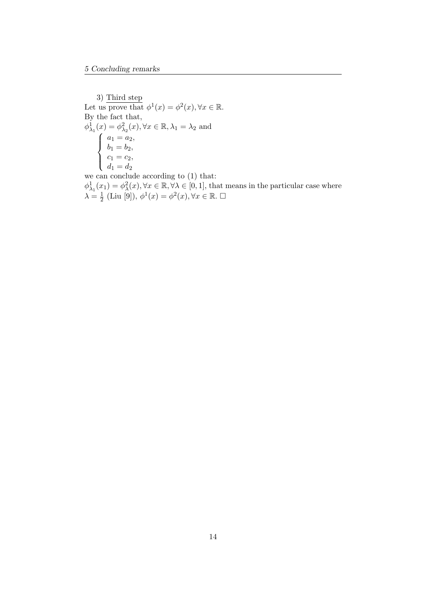3) Third step Let us prove that  $\phi^1(x) = \phi^2(x), \forall x \in \mathbb{R}$ . By the fact that,  $\phi_{\lambda_1}^1(x) = \phi_{\lambda_2}^2(x), \forall x \in \mathbb{R}, \lambda_1 = \lambda_2$  and  $\sqrt{ }$  $\int$  $\overline{\mathcal{L}}$  $a_1 = a_2,$  $b_1 = b_2,$  $c_1 = c_2,$  $d_1 = d_2$ we can conclude according to (1) that:  $\phi_{\lambda_1}^1(x_1) = \phi_{\lambda}^2(x), \forall x \in \mathbb{R}, \forall \lambda \in [0, 1],$  that means in the particular case where  $\lambda = \frac{1}{2}$  $\frac{1}{2}$  (Liu [9]),  $\phi^1(x) = \phi^2(x)$ ,  $\forall x \in \mathbb{R}$ .  $\Box$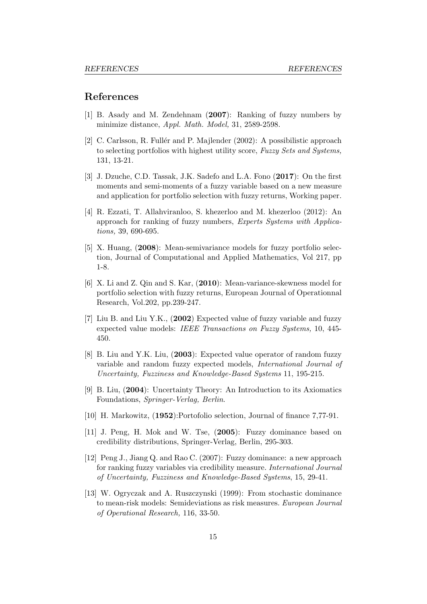#### References

- [1] B. Asady and M. Zendehnam (2007): Ranking of fuzzy numbers by minimize distance, Appl. Math. Model, 31, 2589-2598.
- [2] C. Carlsson, R. Fullér and P. Majlender (2002): A possibilistic approach to selecting portfolios with highest utility score, Fuzzy Sets and Systems, 131, 13-21.
- [3] J. Dzuche, C.D. Tassak, J.K. Sadefo and L.A. Fono (2017): On the first moments and semi-moments of a fuzzy variable based on a new measure and application for portfolio selection with fuzzy returns, Working paper.
- [4] R. Ezzati, T. Allahviranloo, S. khezerloo and M. khezerloo (2012): An approach for ranking of fuzzy numbers, Experts Systems with Applications, 39, 690-695.
- [5] X. Huang, (2008): Mean-semivariance models for fuzzy portfolio selection, Journal of Computational and Applied Mathematics, Vol 217, pp 1-8.
- [6] X. Li and Z. Qin and S. Kar, (2010): Mean-variance-skewness model for portfolio selection with fuzzy returns, European Journal of Operationnal Research, Vol.202, pp.239-247.
- [7] Liu B. and Liu Y.K., (2002) Expected value of fuzzy variable and fuzzy expected value models: IEEE Transactions on Fuzzy Systems, 10, 445- 450.
- [8] B. Liu and Y.K. Liu, (2003): Expected value operator of random fuzzy variable and random fuzzy expected models, International Journal of Uncertainty, Fuzziness and Knowledge-Based Systems 11, 195-215.
- [9] B. Liu, (2004): Uncertainty Theory: An Introduction to its Axiomatics Foundations, Springer-Verlag, Berlin.
- [10] H. Markowitz, (1952):Portofolio selection, Journal of finance 7,77-91.
- [11] J. Peng, H. Mok and W. Tse, (2005): Fuzzy dominance based on credibility distributions, Springer-Verlag, Berlin, 295-303.
- [12] Peng J., Jiang Q. and Rao C. (2007): Fuzzy dominance: a new approach for ranking fuzzy variables via credibility measure. International Journal of Uncertainty, Fuzziness and Knowledge-Based Systems, 15, 29-41.
- [13] W. Ogryczak and A. Ruszczynski (1999): From stochastic dominance to mean-risk models: Semideviations as risk measures. European Journal of Operational Research, 116, 33-50.